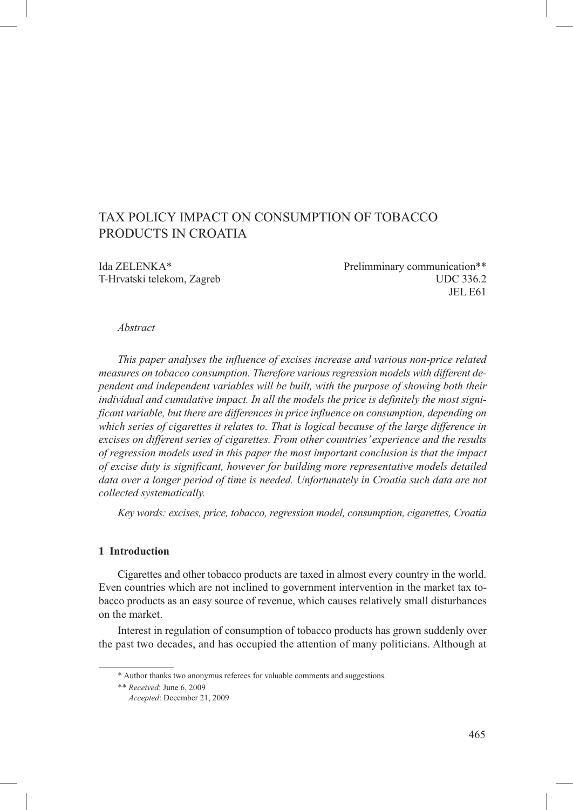# Tax policy impact on consumption of tobacco products in croatia

Ida ZELENKA\* Prelimminary communication\*\* T-Hrvatski telekom, Zagreb UDC 336.2 JEL E61

#### *Abstract*

*This paper analyses the influence of excises increase and various non-price related measures on tobacco consumption. Therefore various regression models with different dependent and independent variables will be built, with the purpose of showing both their individual and cumulative impact. In all the models the price is definitely the most significant variable, but there are differences in price influence on consumption, depending on which series of cigarettes it relates to. That is logical because of the large difference in excises on different series of cigarettes. From other countries' experience and the results of regression models used in this paper the most important conclusion is that the impact of excise duty is significant, however for building more representative models detailed data over a longer period of time is needed. Unfortunately in Croatia such data are not collected systematically.* 

*Key words: excises, price, tobacco, regression model, consumption, cigarettes, Croatia*

#### **1 Introduction**

Cigarettes and other tobacco products are taxed in almost every country in the world. Even countries which are not inclined to government intervention in the market tax tobacco products as an easy source of revenue, which causes relatively small disturbances on the market.

Interest in regulation of consumption of tobacco products has grown suddenly over the past two decades, and has occupied the attention of many politicians. Although at

<sup>\*</sup> Author thanks two anonymus referees for valuable comments and suggestions.

<sup>\*\*</sup> *Received*: June 6, 2009

*Accepted*: December 21, 2009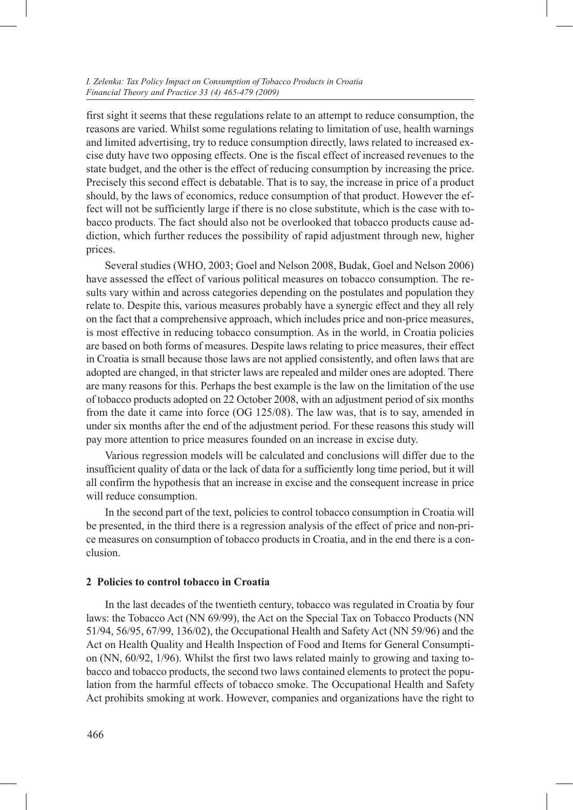first sight it seems that these regulations relate to an attempt to reduce consumption, the reasons are varied. Whilst some regulations relating to limitation of use, health warnings and limited advertising, try to reduce consumption directly, laws related to increased excise duty have two opposing effects. One is the fiscal effect of increased revenues to the state budget, and the other is the effect of reducing consumption by increasing the price. Precisely this second effect is debatable. That is to say, the increase in price of a product should, by the laws of economics, reduce consumption of that product. However the effect will not be sufficiently large if there is no close substitute, which is the case with tobacco products. The fact should also not be overlooked that tobacco products cause addiction, which further reduces the possibility of rapid adjustment through new, higher prices.

Several studies (WHO, 2003; Goel and Nelson 2008, Budak, Goel and Nelson 2006) have assessed the effect of various political measures on tobacco consumption. The results vary within and across categories depending on the postulates and population they relate to. Despite this, various measures probably have a synergic effect and they all rely on the fact that a comprehensive approach, which includes price and non-price measures, is most effective in reducing tobacco consumption. As in the world, in Croatia policies are based on both forms of measures. Despite laws relating to price measures, their effect in Croatia is small because those laws are not applied consistently, and often laws that are adopted are changed, in that stricter laws are repealed and milder ones are adopted. There are many reasons for this. Perhaps the best example is the law on the limitation of the use of tobacco products adopted on 22 October 2008, with an adjustment period of six months from the date it came into force (OG 125/08). The law was, that is to say, amended in under six months after the end of the adjustment period. For these reasons this study will pay more attention to price measures founded on an increase in excise duty.

Various regression models will be calculated and conclusions will differ due to the insufficient quality of data or the lack of data for a sufficiently long time period, but it will all confirm the hypothesis that an increase in excise and the consequent increase in price will reduce consumption.

In the second part of the text, policies to control tobacco consumption in Croatia will be presented, in the third there is a regression analysis of the effect of price and non-price measures on consumption of tobacco products in Croatia, and in the end there is a conclusion.

#### **2 Policies to control tobacco in Croatia**

In the last decades of the twentieth century, tobacco was regulated in Croatia by four laws: the Tobacco Act (NN 69/99), the Act on the Special Tax on Tobacco Products (NN 51/94, 56/95, 67/99, 136/02), the Occupational Health and Safety Act (NN 59/96) and the Act on Health Quality and Health Inspection of Food and Items for General Consumption (NN, 60/92, 1/96). Whilst the first two laws related mainly to growing and taxing tobacco and tobacco products, the second two laws contained elements to protect the population from the harmful effects of tobacco smoke. The Occupational Health and Safety Act prohibits smoking at work. However, companies and organizations have the right to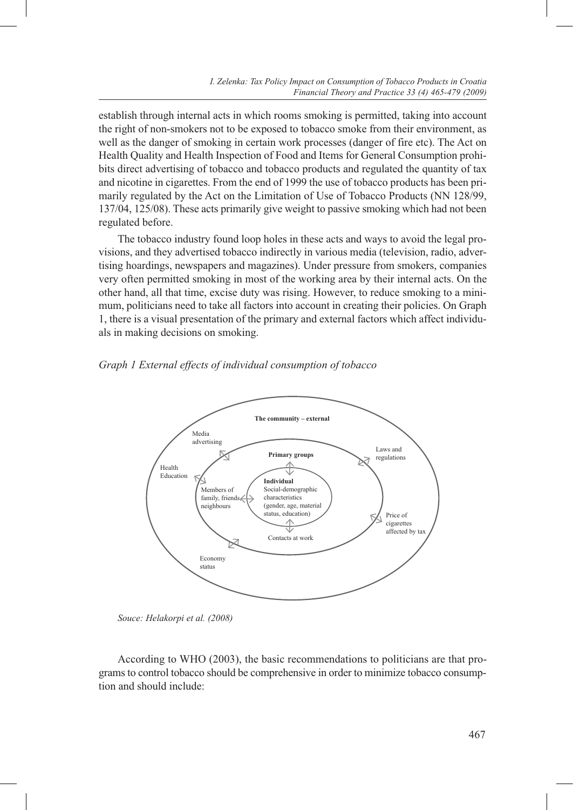establish through internal acts in which rooms smoking is permitted, taking into account the right of non-smokers not to be exposed to tobacco smoke from their environment, as well as the danger of smoking in certain work processes (danger of fire etc). The Act on Health Quality and Health Inspection of Food and Items for General Consumption prohibits direct advertising of tobacco and tobacco products and regulated the quantity of tax and nicotine in cigarettes. From the end of 1999 the use of tobacco products has been primarily regulated by the Act on the Limitation of Use of Tobacco Products (NN 128/99, 137/04, 125/08). These acts primarily give weight to passive smoking which had not been regulated before.

The tobacco industry found loop holes in these acts and ways to avoid the legal provisions, and they advertised tobacco indirectly in various media (television, radio, advertising hoardings, newspapers and magazines). Under pressure from smokers, companies very often permitted smoking in most of the working area by their internal acts. On the other hand, all that time, excise duty was rising. However, to reduce smoking to a minimum, politicians need to take all factors into account in creating their policies. On Graph 1, there is a visual presentation of the primary and external factors which affect individuals in making decisions on smoking.





*Souce: Helakorpi et al. (2008)*

According to WHO (2003), the basic recommendations to politicians are that programs to control tobacco should be comprehensive in order to minimize tobacco consumption and should include: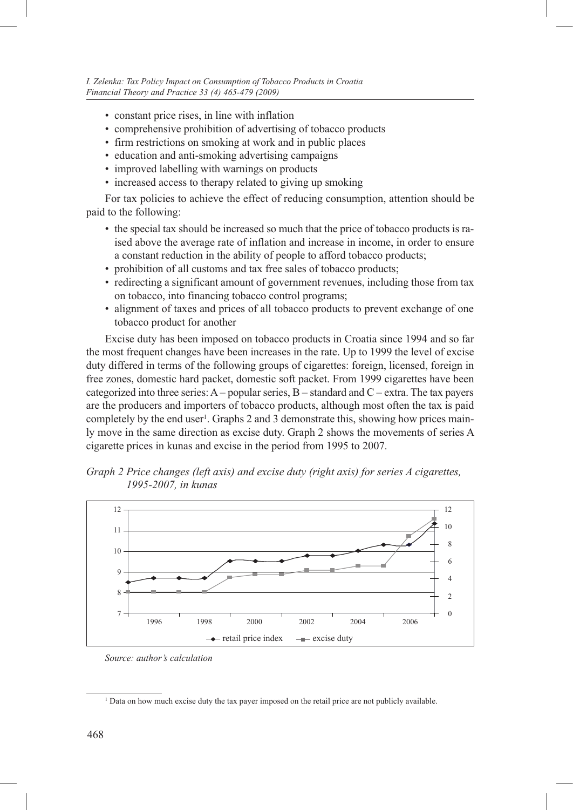- constant price rises, in line with inflation
- comprehensive prohibition of advertising of tobacco products
- firm restrictions on smoking at work and in public places
- education and anti-smoking advertising campaigns
- improved labelling with warnings on products
- increased access to therapy related to giving up smoking

For tax policies to achieve the effect of reducing consumption, attention should be paid to the following:

- the special tax should be increased so much that the price of tobacco products is raised above the average rate of inflation and increase in income, in order to ensure a constant reduction in the ability of people to afford tobacco products;
- prohibition of all customs and tax free sales of tobacco products;
- redirecting a significant amount of government revenues, including those from tax on tobacco, into financing tobacco control programs;
- alignment of taxes and prices of all tobacco products to prevent exchange of one tobacco product for another

Excise duty has been imposed on tobacco products in Croatia since 1994 and so far the most frequent changes have been increases in the rate. Up to 1999 the level of excise duty differed in terms of the following groups of cigarettes: foreign, licensed, foreign in free zones, domestic hard packet, domestic soft packet. From 1999 cigarettes have been categorized into three series: A – popular series, B – standard and C – extra. The tax payers are the producers and importers of tobacco products, although most often the tax is paid completely by the end user<sup>1</sup>. Graphs 2 and 3 demonstrate this, showing how prices mainly move in the same direction as excise duty. Graph 2 shows the movements of series A cigarette prices in kunas and excise in the period from 1995 to 2007.





*Source: author's calculation* 

<sup>1</sup> Data on how much excise duty the tax payer imposed on the retail price are not publicly available.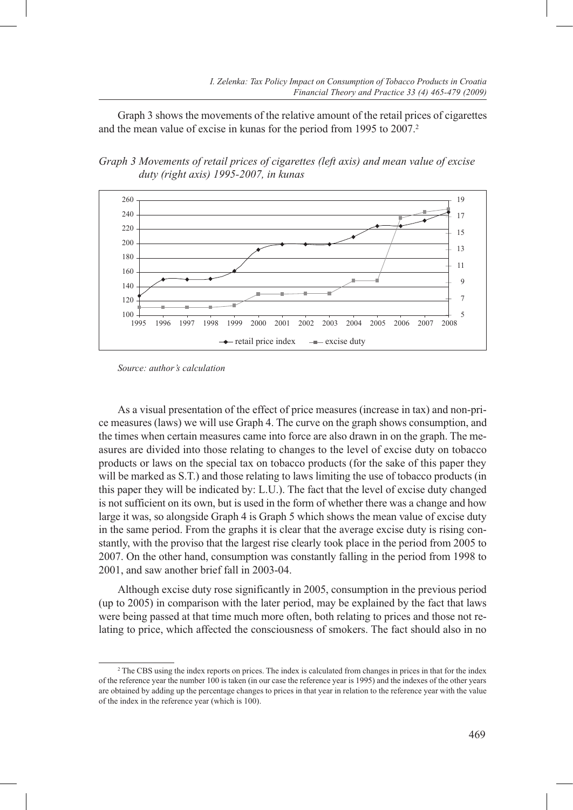Graph 3 shows the movements of the relative amount of the retail prices of cigarettes and the mean value of excise in kunas for the period from 1995 to 2007.<sup>2</sup>

*Graph 3 Movements of retail prices of cigarettes (left axis) and mean value of excise duty (right axis) 1995-2007, in kunas*



*Source: author's calculation*

As a visual presentation of the effect of price measures (increase in tax) and non-price measures (laws) we will use Graph 4. The curve on the graph shows consumption, and the times when certain measures came into force are also drawn in on the graph. The measures are divided into those relating to changes to the level of excise duty on tobacco products or laws on the special tax on tobacco products (for the sake of this paper they will be marked as S.T.) and those relating to laws limiting the use of tobacco products (in this paper they will be indicated by: L.U.). The fact that the level of excise duty changed is not sufficient on its own, but is used in the form of whether there was a change and how large it was, so alongside Graph 4 is Graph 5 which shows the mean value of excise duty in the same period. From the graphs it is clear that the average excise duty is rising constantly, with the proviso that the largest rise clearly took place in the period from 2005 to 2007. On the other hand, consumption was constantly falling in the period from 1998 to 2001, and saw another brief fall in 2003-04.

Although excise duty rose significantly in 2005, consumption in the previous period (up to 2005) in comparison with the later period, may be explained by the fact that laws were being passed at that time much more often, both relating to prices and those not relating to price, which affected the consciousness of smokers. The fact should also in no

<sup>2</sup> The CBS using the index reports on prices. The index is calculated from changes in prices in that for the index of the reference year the number 100 is taken (in our case the reference year is 1995) and the indexes of the other years are obtained by adding up the percentage changes to prices in that year in relation to the reference year with the value of the index in the reference year (which is 100).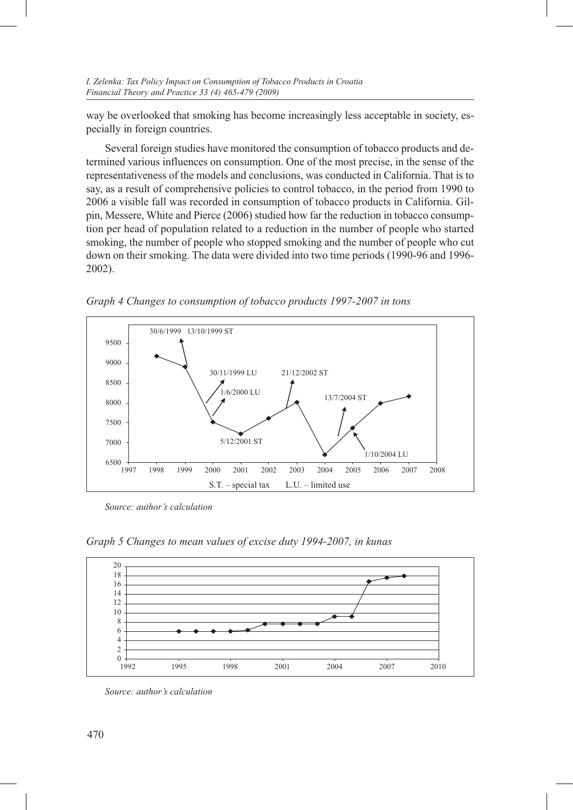way be overlooked that smoking has become increasingly less acceptable in society, especially in foreign countries.

Several foreign studies have monitored the consumption of tobacco products and determined various influences on consumption. One of the most precise, in the sense of the representativeness of the models and conclusions, was conducted in California. That is to say, as a result of comprehensive policies to control tobacco, in the period from 1990 to 2006 a visible fall was recorded in consumption of tobacco products in California. Gilpin, Messere, White and Pierce (2006) studied how far the reduction in tobacco consumption per head of population related to a reduction in the number of people who started smoking, the number of people who stopped smoking and the number of people who cut down on their smoking. The data were divided into two time periods (1990-96 and 1996- 2002).



*Graph 4 Changes to consumption of tobacco products 1997-2007 in tons*

*Source: author's calculation* 

*Graph 5 Changes to mean values of excise duty 1994-2007, in kunas*



*Source: author's calculation*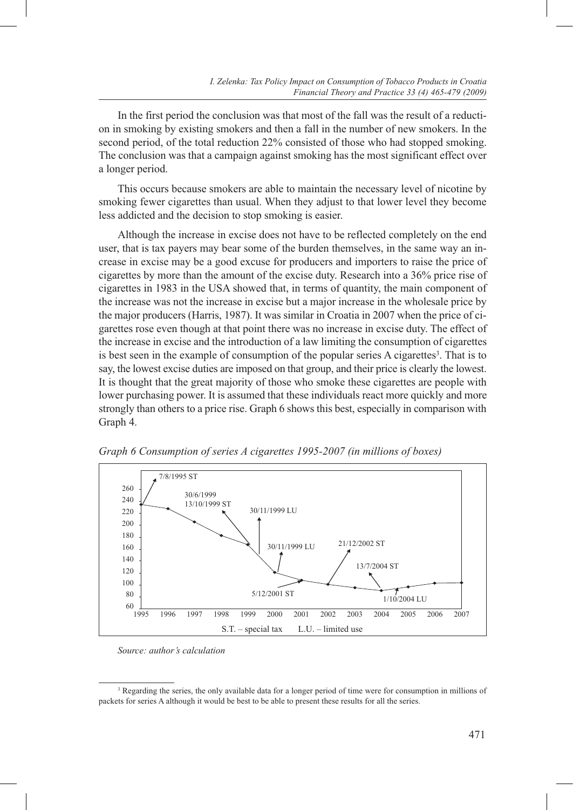In the first period the conclusion was that most of the fall was the result of a reduction in smoking by existing smokers and then a fall in the number of new smokers. In the second period, of the total reduction 22% consisted of those who had stopped smoking. The conclusion was that a campaign against smoking has the most significant effect over a longer period.

This occurs because smokers are able to maintain the necessary level of nicotine by smoking fewer cigarettes than usual. When they adjust to that lower level they become less addicted and the decision to stop smoking is easier.

Although the increase in excise does not have to be reflected completely on the end user, that is tax payers may bear some of the burden themselves, in the same way an increase in excise may be a good excuse for producers and importers to raise the price of cigarettes by more than the amount of the excise duty. Research into a 36% price rise of cigarettes in 1983 in the USA showed that, in terms of quantity, the main component of the increase was not the increase in excise but a major increase in the wholesale price by the major producers (Harris, 1987). It was similar in Croatia in 2007 when the price of cigarettes rose even though at that point there was no increase in excise duty. The effect of the increase in excise and the introduction of a law limiting the consumption of cigarettes is best seen in the example of consumption of the popular series A cigarettes<sup>3</sup>. That is to say, the lowest excise duties are imposed on that group, and their price is clearly the lowest. It is thought that the great majority of those who smoke these cigarettes are people with lower purchasing power. It is assumed that these individuals react more quickly and more strongly than others to a price rise. Graph 6 shows this best, especially in comparison with Graph 4.



*Graph 6 Consumption of series A cigarettes 1995-2007 (in millions of boxes)*

*Source: author's calculation* 

<sup>&</sup>lt;sup>3</sup> Regarding the series, the only available data for a longer period of time were for consumption in millions of packets for series A although it would be best to be able to present these results for all the series.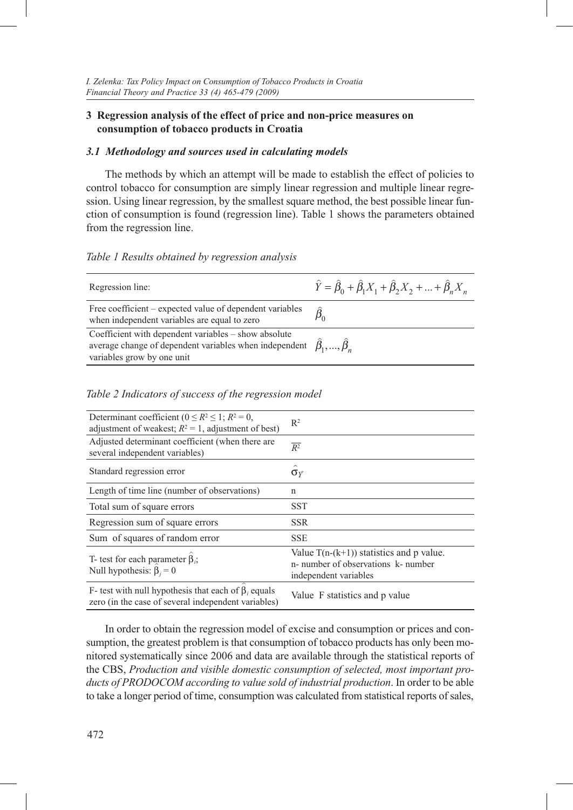## **3 Regression analysis of the effect of price and non-price measures on consumption of tobacco products in Croatia**

#### *3.1 Methodology and sources used in calculating models*

The methods by which an attempt will be made to establish the effect of policies to control tobacco for consumption are simply linear regression and multiple linear regression. Using linear regression, by the smallest square method, the best possible linear function of consumption is found (regression line). Table 1 shows the parameters obtained from the regression line.

#### *Table 1 Results obtained by regression analysis*

| Regression line:                                                                                                                                                              | $\hat{Y} = \hat{\beta}_0 + \hat{\beta}_1 X_1 + \hat{\beta}_2 X_2 +  + \hat{\beta}_n X_n$ |
|-------------------------------------------------------------------------------------------------------------------------------------------------------------------------------|------------------------------------------------------------------------------------------|
| Free coefficient – expected value of dependent variables<br>when independent variables are equal to zero                                                                      |                                                                                          |
| Coefficient with dependent variables – show absolute<br>average change of dependent variables when independent $\hat{\beta}_1, , \hat{\beta}_n$<br>variables grow by one unit |                                                                                          |

#### *Table 2 Indicators of success of the regression model*

| Determinant coefficient ( $0 \le R^2 \le 1$ ; $R^2 = 0$ ,<br>adjustment of weakest; $R^2 = 1$ , adjustment of best) | $\mathbb{R}^2$                                                                                             |
|---------------------------------------------------------------------------------------------------------------------|------------------------------------------------------------------------------------------------------------|
| Adjusted determinant coefficient (when there are<br>several independent variables)                                  | $\overline{R^2}$                                                                                           |
| Standard regression error                                                                                           | $\hat{\sigma}_{\hat{y}}$                                                                                   |
| Length of time line (number of observations)                                                                        | n                                                                                                          |
| Total sum of square errors                                                                                          | <b>SST</b>                                                                                                 |
| Regression sum of square errors                                                                                     | <b>SSR</b>                                                                                                 |
| Sum of squares of random error                                                                                      | <b>SSE</b>                                                                                                 |
| T- test for each parameter $\beta$ ;<br>Null hypothesis: $\beta_i = 0$                                              | Value $T(n-(k+1))$ statistics and p value.<br>n- number of observations k- number<br>independent variables |
| F- test with null hypothesis that each of $\beta$ , equals<br>zero (in the case of several independent variables)   | Value F statistics and p value                                                                             |

In order to obtain the regression model of excise and consumption or prices and consumption, the greatest problem is that consumption of tobacco products has only been monitored systematically since 2006 and data are available through the statistical reports of the CBS, *Production and visible domestic consumption of selected, most important products of PRODOCOM according to value sold of industrial production*. In order to be able to take a longer period of time, consumption was calculated from statistical reports of sales,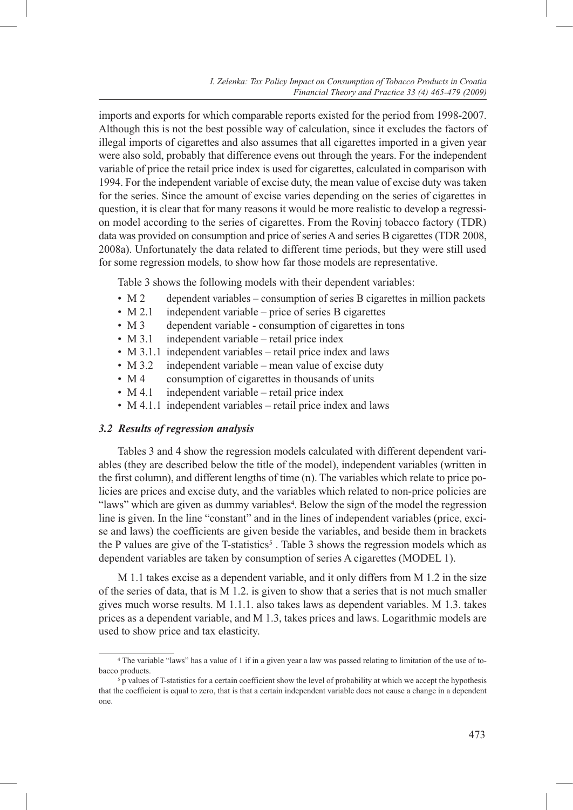imports and exports for which comparable reports existed for the period from 1998-2007. Although this is not the best possible way of calculation, since it excludes the factors of illegal imports of cigarettes and also assumes that all cigarettes imported in a given year were also sold, probably that difference evens out through the years. For the independent variable of price the retail price index is used for cigarettes, calculated in comparison with 1994. For the independent variable of excise duty, the mean value of excise duty was taken for the series. Since the amount of excise varies depending on the series of cigarettes in question, it is clear that for many reasons it would be more realistic to develop a regression model according to the series of cigarettes. From the Rovinj tobacco factory (TDR) data was provided on consumption and price of series A and series B cigarettes (TDR 2008, 2008a). Unfortunately the data related to different time periods, but they were still used for some regression models, to show how far those models are representative.

Table 3 shows the following models with their dependent variables:

- M 2 dependent variables consumption of series B cigarettes in million packets
- M 2.1 independent variable price of series B cigarettes
- M 3 dependent variable consumption of cigarettes in tons
- M 3.1 independent variable retail price index
- M 3.1.1 independent variables retail price index and laws
- M 3.2 independent variable mean value of excise duty
- M 4 consumption of cigarettes in thousands of units
- M 4.1 independent variable retail price index
- M 4.1.1 independent variables retail price index and laws

#### *3.2 Results of regression analysis*

Tables 3 and 4 show the regression models calculated with different dependent variables (they are described below the title of the model), independent variables (written in the first column), and different lengths of time (n). The variables which relate to price policies are prices and excise duty, and the variables which related to non-price policies are "laws" which are given as dummy variables<sup>4</sup>. Below the sign of the model the regression line is given. In the line "constant" and in the lines of independent variables (price, excise and laws) the coefficients are given beside the variables, and beside them in brackets the P values are give of the T-statistics<sup>5</sup>. Table 3 shows the regression models which as dependent variables are taken by consumption of series A cigarettes (MODEL 1).

M 1.1 takes excise as a dependent variable, and it only differs from M 1.2 in the size of the series of data, that is M 1.2. is given to show that a series that is not much smaller gives much worse results. M 1.1.1. also takes laws as dependent variables. M 1.3. takes prices as a dependent variable, and M 1.3, takes prices and laws. Logarithmic models are used to show price and tax elasticity.

<sup>4</sup> The variable "laws" has a value of 1 if in a given year a law was passed relating to limitation of the use of tobacco products.<br><sup>5</sup> p values of T-statistics for a certain coefficient show the level of probability at which we accept the hypothesis

that the coefficient is equal to zero, that is that a certain independent variable does not cause a change in a dependent one.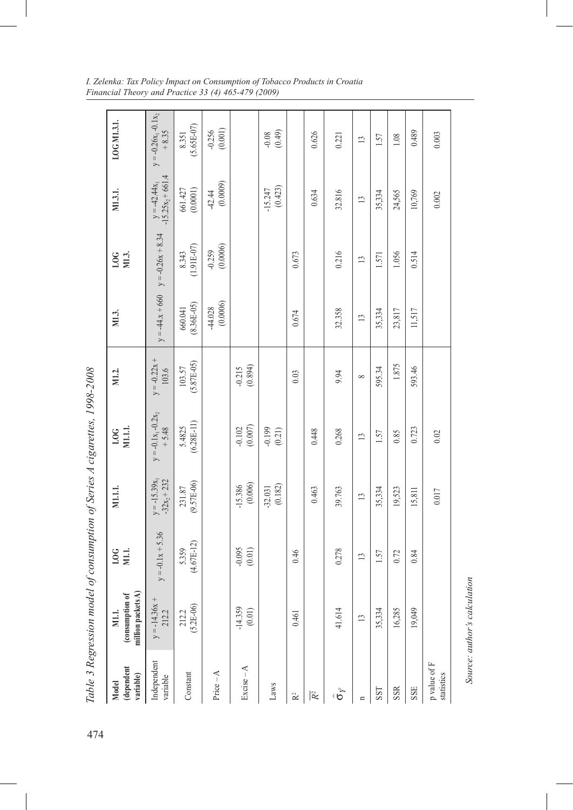|                                                | Table 3 Regression model of consumption of Series A cigarettes, 1998-2008 |                       |                                   |                                    |                         |                         |                       |                                        |                                    |
|------------------------------------------------|---------------------------------------------------------------------------|-----------------------|-----------------------------------|------------------------------------|-------------------------|-------------------------|-----------------------|----------------------------------------|------------------------------------|
| (dependent<br>variable)<br>Model               | million packets A)<br>(consumption of<br>M1.1.                            | $_{\rm LOG}$<br>NI.   | M1.1.1.                           | $\frac{10G}{M11.1}$                | M1.2.                   | M1.3.                   | 10G<br>M1.3.          | M1.3.1.                                | LOG M1.3.1.                        |
| Independent<br>variable                        | $y = -14.36x +$<br>212.2                                                  | $y = -0.1x + 5.36$    | $-32x_2 + 232$<br>$y = -15.39x_1$ | $y = -0.1x_1 - 0.2x_2$<br>$+ 5.48$ | $y = -0.22x +$<br>103.6 | $y = -44.x + 660$       | $y = -0.26x + 8.34$   | $-15.25x_2 + 661.4$<br>$y = -42.44x_1$ | $y = -0.26x_1 - 0.1x_2$<br>$+8.35$ |
| Constant                                       | $(5.2E-06)$<br>212.2                                                      | $(4.67E-12)$<br>5.359 | $(9.57E-06)$<br>231.87            | $(6.28E-11)$<br>5.4825             | $(5.87E-05)$<br>103.57  | $(8.36E-05)$<br>660.041 | $(1.91E-07)$<br>8.343 | $661.427$ (0.0001)                     | $(5.65E-07)$<br>8.351              |
| $Price - A$                                    |                                                                           |                       |                                   |                                    |                         | (0.0006)<br>$-44.028$   | (0.0006)<br>$-0.259$  | (0.0009)<br>$-42.44$                   | (0.001)<br>$-0.256$                |
| $Exercise - A$                                 | $-14.359$<br>(0.01)                                                       | $-0.095$<br>$(0.01)$  | $-15.386$<br>(0.006)              | $(0.007)$<br>$-0.102$              | $-0.215$<br>$(0.894)$   |                         |                       |                                        |                                    |
| Laws                                           |                                                                           |                       | (0.182)<br>$-32.031$              | $-0.199$<br>(0.21)                 |                         |                         |                       | (0.423)<br>$-15.247$                   | (0.49)<br>$-0.08$                  |
| $\mathbf{\tilde{R}}^2$                         | 0.461                                                                     | 0.46                  |                                   |                                    | 0.03                    | 0.674                   | 0.673                 |                                        |                                    |
| $\overline{\mathcal{R}}^2$                     |                                                                           |                       | 0.463                             | 0.448                              |                         |                         |                       | 0.634                                  | 0.626                              |
| $\hat{\tilde{\sigma}}$                         | 41.614                                                                    | 0.278                 | 39.763                            | 0.268                              | 9.94                    | 32.358                  | 0.216                 | 32.816                                 | 0.221                              |
| $\mathbf{u}$                                   | $\overline{13}$                                                           | $\mathbf{L}$          | $\overline{13}$                   | $\mathbf{L}$                       | ${}^{\circ}$            | $\overline{13}$         | $\mathbf{L}$          | $\overline{13}$                        | 13                                 |
| SST                                            | 35,334                                                                    | 1.57                  | 35,334                            | 1.57                               | 595.34                  | 35,334                  | 1.571                 | 35,334                                 | 1.57                               |
| <b>SSR</b>                                     | 16,285                                                                    | 0.72                  | 19,523                            | 0.85                               | 1.875                   | 23,817                  | 1.056                 | 24,565                                 | 1.08                               |
| SSE                                            | 19,049                                                                    | 0.84                  | 15,811                            | 0.723                              | 593.46                  | 11,517                  | 0.514                 | 10,769                                 | 0.489                              |
| $\mathbf p$ value of $\mathbf F$<br>statistics |                                                                           |                       | 0.017                             | 0.02                               |                         |                         |                       | $0.002$                                | 0.003                              |
|                                                |                                                                           |                       |                                   |                                    |                         |                         |                       |                                        |                                    |

*I. Zelenka: Tax Policy Impact on Consumption of Tobacco Products in Croatia Financial Theory and Practice 33 (4) 465-479 (2009)*

Source: author's calculation *Source: author's calculation*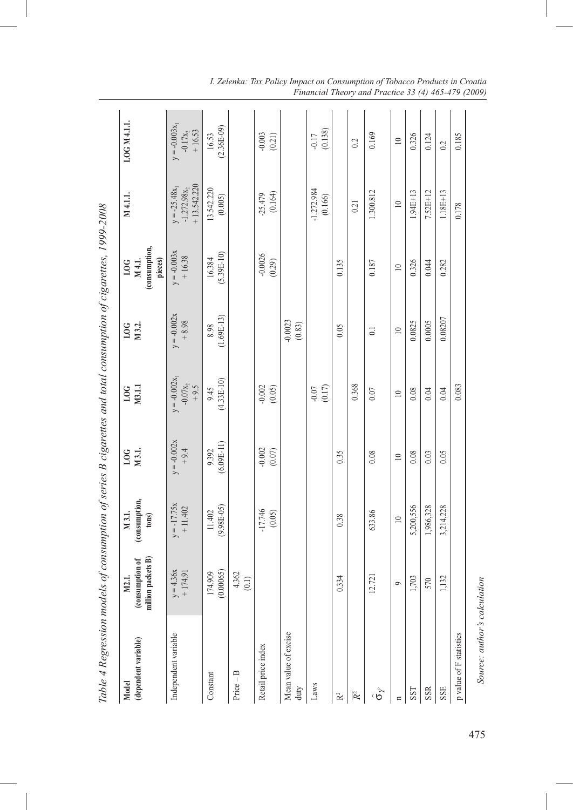| Table 4 Regression models of consumption of series B cigarettes and total consumption of cigarettes, 1999-2008 |                                                |                                  |                         |                                     |                          |                                           |                                                    |                                          |
|----------------------------------------------------------------------------------------------------------------|------------------------------------------------|----------------------------------|-------------------------|-------------------------------------|--------------------------|-------------------------------------------|----------------------------------------------------|------------------------------------------|
| (dependent variable)<br>Model                                                                                  | million packets B)<br>(consumption of<br>M2.1. | (consumption,<br>M 3.1.<br>tons) | M3.1.<br><b>DO</b>      | M3.11<br>$_{\rm LOG}$               | M3.2.<br>LOG             | (consumption,<br>pieces)<br>M 4.1.<br>10G | M4.1.1.                                            | LOG M 4.1.1.                             |
| Independent variable                                                                                           | $y = 4.36x$<br>$+174.91$                       | $y = -17.75x$<br>$+11.402$       | $y = -0.002x$<br>$+9.4$ | $y = -0.002x$<br>$-0.07x_2$<br>+9.5 | $y = -0.002x$<br>$+8.98$ | $y = -0.003x$<br>$+16.38$                 | $+13.542.220$<br>$-1.272.98x_2$<br>$y = -25.48x_1$ | $y = -0.003x_1$<br>$-0.17x_2$<br>+ 16.53 |
| Constant                                                                                                       | (0.00065)<br>174.909                           | $(9.98E-05)$<br>11.402           | $(6.09E-11)$<br>9.392   | $(4.33E-10)$<br>9.45                | $(1.69E-13)$<br>8.98     | $(5.39E-10)$<br>16.384                    | 13.542.220<br>(0.005)                              | $(2.36E-09)$<br>16.53                    |
| $Price - B$                                                                                                    | $4.362$<br>(0.1)                               |                                  |                         |                                     |                          |                                           |                                                    |                                          |
| Retail price index                                                                                             |                                                | $-17.746$<br>$(0.05)$            | $-0.002$<br>$(0.07)$    | $-0.002$<br>(0.05)                  |                          | $-0.0026$<br>(0.29)                       | (0.164)<br>$-25.479$                               | $-0.003$<br>(0.21)                       |
| Mean value of excise<br>duty                                                                                   |                                                |                                  |                         |                                     | $-0.0023$<br>(0.83)      |                                           |                                                    |                                          |
| Laws                                                                                                           |                                                |                                  |                         | (0.17)<br>$-0.07$                   |                          |                                           | $-1.272.984$<br>(0.166)                            | (0.138)<br>$-0.17$                       |
| $\mathbf{R}^2$                                                                                                 | 0.334                                          | 0.38                             | 0.35                    |                                     | 0.05                     | 0.135                                     |                                                    |                                          |
| $\overline{R^2}$                                                                                               |                                                |                                  |                         | 0.368                               |                          |                                           | 0.21                                               | 0.2                                      |
| $\hat{\sigma}$                                                                                                 | 12.721                                         | 633.86                           | 0.08                    | 0.07                                | $\overline{0}$           | 0.187                                     | 1.300.812                                          | 0.169                                    |
| $\mathbf{u}$                                                                                                   | $\circ$                                        | $\equiv$                         | $\equiv$                | $\equiv$                            | $\overline{10}$          | $\equiv$                                  | $\equiv$                                           | $\equiv$                                 |
| SST                                                                                                            | 1,703                                          | 5,200,556                        | 0.08                    | 0.08                                | 0.0825                   | 0.326                                     | $1.94E + 13$                                       | 0.326                                    |
| SSR                                                                                                            | 570                                            | 1,986,328                        | 0.03                    | 0.04                                | 0.0005                   | 0.044                                     | $7.52E + 12$                                       | 0.124                                    |
| SSE                                                                                                            | 1,132                                          | 3,214,228                        | 0.05                    | 0.04                                | 0.08207                  | 0.282                                     | $1.18E + 13$                                       | 0.2                                      |
| p value of F statistics                                                                                        |                                                |                                  |                         | 0.083                               |                          |                                           | 0.178                                              | 0.185                                    |
| Source: author's calculation                                                                                   |                                                |                                  |                         |                                     |                          |                                           |                                                    |                                          |

*I. Zelenka: Tax Policy Impact on Consumption of Tobacco Products in Croatia Financial Theory and Practice 33 (4) 465-479 (2009)*

475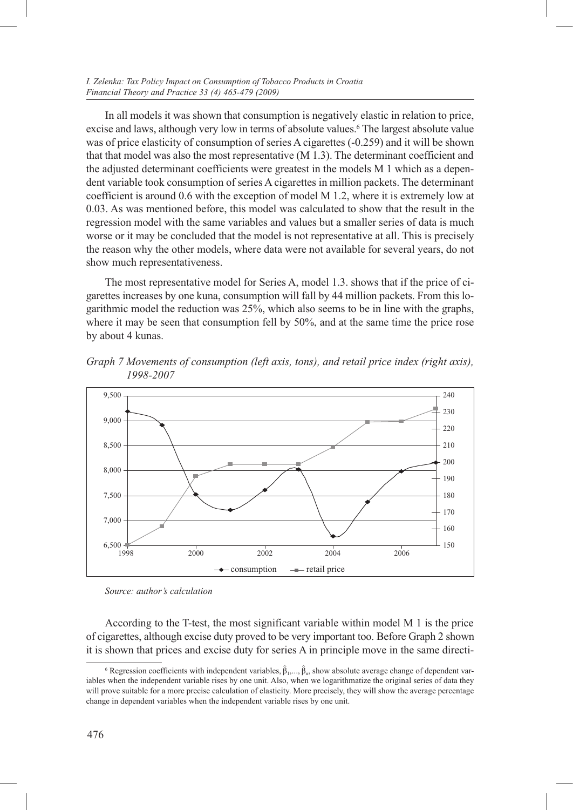In all models it was shown that consumption is negatively elastic in relation to price, excise and laws, although very low in terms of absolute values.<sup>6</sup> The largest absolute value was of price elasticity of consumption of series A cigarettes (-0.259) and it will be shown that that model was also the most representative (M 1.3). The determinant coefficient and the adjusted determinant coefficients were greatest in the models M 1 which as a dependent variable took consumption of series A cigarettes in million packets. The determinant coefficient is around 0.6 with the exception of model M 1.2, where it is extremely low at 0.03. As was mentioned before, this model was calculated to show that the result in the regression model with the same variables and values but a smaller series of data is much worse or it may be concluded that the model is not representative at all. This is precisely the reason why the other models, where data were not available for several years, do not show much representativeness.

The most representative model for Series A, model 1.3. shows that if the price of cigarettes increases by one kuna, consumption will fall by 44 million packets. From this logarithmic model the reduction was 25%, which also seems to be in line with the graphs, where it may be seen that consumption fell by 50%, and at the same time the price rose by about 4 kunas.

*Graph 7 Movements of consumption (left axis, tons), and retail price index (right axis), 1998-2007*



*Source: author's calculation*

According to the T-test, the most significant variable within model M 1 is the price of cigarettes, although excise duty proved to be very important too. Before Graph 2 shown it is shown that prices and excise duty for series A in principle move in the same directi-

<sup>&</sup>lt;sup>6</sup> Regression coefficients with independent variables,  $\hat{\beta}_1, ..., \hat{\beta}_n$ , show absolute average change of dependent variables when the independent variable rises by one unit. Also, when we logarithmatize the original series of data they will prove suitable for a more precise calculation of elasticity. More precisely, they will show the average percentage change in dependent variables when the independent variable rises by one unit.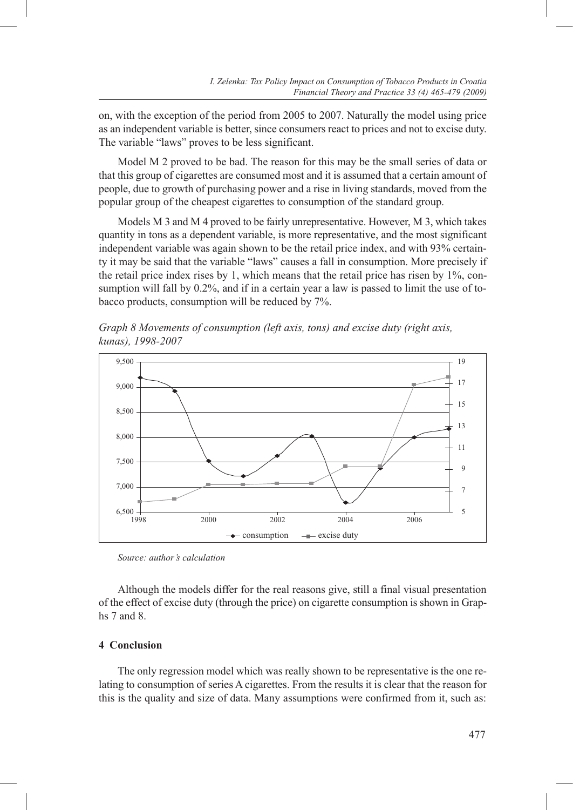on, with the exception of the period from 2005 to 2007. Naturally the model using price as an independent variable is better, since consumers react to prices and not to excise duty. The variable "laws" proves to be less significant.

Model M 2 proved to be bad. The reason for this may be the small series of data or that this group of cigarettes are consumed most and it is assumed that a certain amount of people, due to growth of purchasing power and a rise in living standards, moved from the popular group of the cheapest cigarettes to consumption of the standard group.

Models M 3 and M 4 proved to be fairly unrepresentative. However, M 3, which takes quantity in tons as a dependent variable, is more representative, and the most significant independent variable was again shown to be the retail price index, and with 93% certainty it may be said that the variable "laws" causes a fall in consumption. More precisely if the retail price index rises by 1, which means that the retail price has risen by 1%, consumption will fall by 0.2%, and if in a certain year a law is passed to limit the use of tobacco products, consumption will be reduced by 7%.

*Graph 8 Movements of consumption (left axis, tons) and excise duty (right axis, kunas), 1998-2007*



*Source: author's calculation*

Although the models differ for the real reasons give, still a final visual presentation of the effect of excise duty (through the price) on cigarette consumption is shown in Graphs 7 and 8.

### **4 Conclusion**

The only regression model which was really shown to be representative is the one relating to consumption of series A cigarettes. From the results it is clear that the reason for this is the quality and size of data. Many assumptions were confirmed from it, such as: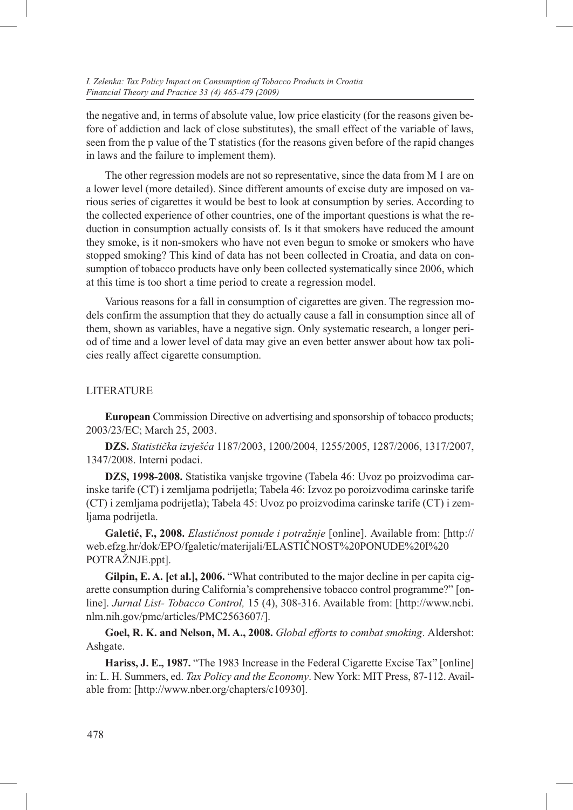the negative and, in terms of absolute value, low price elasticity (for the reasons given before of addiction and lack of close substitutes), the small effect of the variable of laws, seen from the p value of the T statistics (for the reasons given before of the rapid changes in laws and the failure to implement them).

The other regression models are not so representative, since the data from M 1 are on a lower level (more detailed). Since different amounts of excise duty are imposed on various series of cigarettes it would be best to look at consumption by series. According to the collected experience of other countries, one of the important questions is what the reduction in consumption actually consists of. Is it that smokers have reduced the amount they smoke, is it non-smokers who have not even begun to smoke or smokers who have stopped smoking? This kind of data has not been collected in Croatia, and data on consumption of tobacco products have only been collected systematically since 2006, which at this time is too short a time period to create a regression model.

Various reasons for a fall in consumption of cigarettes are given. The regression models confirm the assumption that they do actually cause a fall in consumption since all of them, shown as variables, have a negative sign. Only systematic research, a longer period of time and a lower level of data may give an even better answer about how tax policies really affect cigarette consumption.

#### **LITERATURE**

**European** Commission Directive on advertising and sponsorship of tobacco products; 2003/23/EC; March 25, 2003.

**DZS.** *Statistička izvješća* 1187/2003, 1200/2004, 1255/2005, 1287/2006, 1317/2007, 1347/2008. Interni podaci.

**DZS, 1998-2008.** Statistika vanjske trgovine (Tabela 46: Uvoz po proizvodima carinske tarife (CT) i zemljama podrijetla; Tabela 46: Izvoz po poroizvodima carinske tarife (CT) i zemljama podrijetla); Tabela 45: Uvoz po proizvodima carinske tarife (CT) i zemljama podrijetla.

**Galetić, F., 2008.** *Elastičnost ponude i potražnje* [online]. Available from: [http:// web.efzg.hr/dok/EPO/fgaletic/materijali/ELASTIČNOST%20PONUDE%20I%20 POTRAŽNJE.ppt].

**Gilpin, E. A. [et al.], 2006.** "What contributed to the major decline in per capita cigarette consumption during California's comprehensive tobacco control programme?" [online]. *Jurnal List- Tobacco Control,* 15 (4), 308-316. Available from: [http://www.ncbi. nlm.nih.gov/pmc/articles/PMC2563607/].

**Goel, R. K. and Nelson, M. A., 2008.** *Global efforts to combat smoking*. Aldershot: Ashgate.

**Hariss, J. E., 1987.** "The 1983 Increase in the Federal Cigarette Excise Tax" [online] in: L. H. Summers, ed. *Tax Policy and the Economy*. New York: MIT Press, 87-112. Available from: [http://www.nber.org/chapters/c10930].